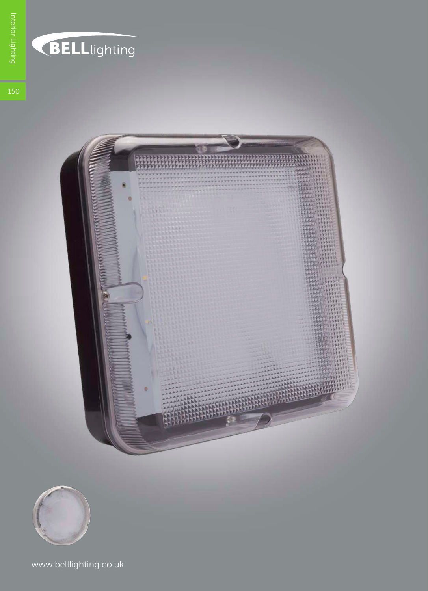

## **BELL**lighting



www.belllighting.co.uk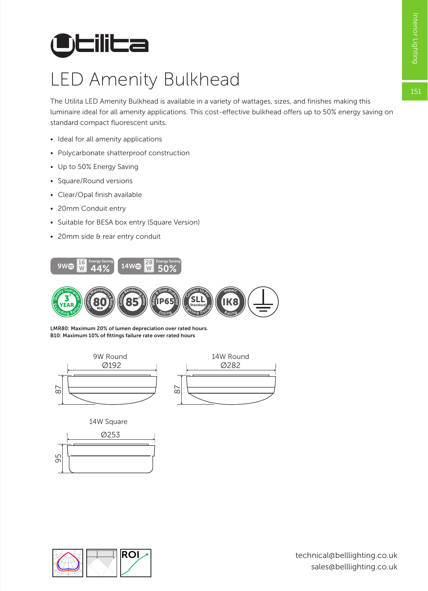151

## **Utilita**

## LED Amenity Bulkhead

The Utilita LED Amenity Bulkhead is available in a variety of wattages, sizes, and finishes making this luminaire ideal for all amenity applications. This cost-effective bulkhead offers up to 50% energy saving on standard compact fluorescent units.

- Ideal for all amenity applications
- Polycarbonate shatterproof construction
- Up to 50% Energy Saving
- Square/Round versions
- Clear/Opal finish available
- 20mm Conduit entry
- Suitable for BESA box entry (Square Version)
- 20mm side & rear entry conduit



B10: Maximum 10% of fittings failure rate over rated hours LMR80: Maximum 20% of lumen depreciation over rated hours.



14W Square





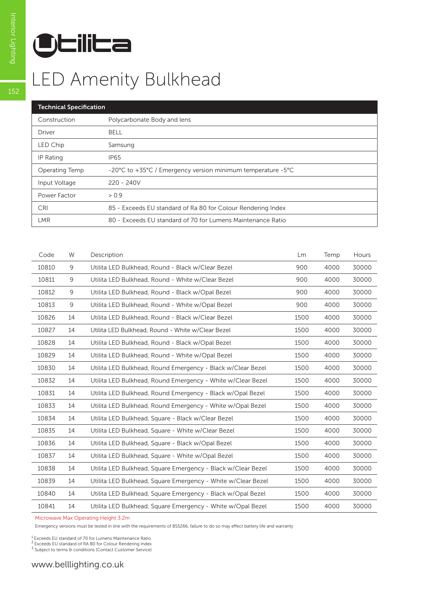

| <b>Technical Specification</b> |                                                              |  |  |  |
|--------------------------------|--------------------------------------------------------------|--|--|--|
| Construction                   | Polycarbonate Body and lens                                  |  |  |  |
| <b>Driver</b>                  | BELL                                                         |  |  |  |
| LED Chip                       | Samsung                                                      |  |  |  |
| IP Rating                      | <b>IP65</b>                                                  |  |  |  |
| Operating Temp                 | -20°C to +35°C / Emergency version minimum temperature -5°C  |  |  |  |
| Input Voltage                  | $220 - 240V$                                                 |  |  |  |
| Power Factor                   | > 0.9                                                        |  |  |  |
| <b>CRI</b>                     | 85 - Exceeds EU standard of Ra 80 for Colour Rendering Index |  |  |  |
| LMR                            | 80 - Exceeds EU standard of 70 for Lumens Maintenance Ratio  |  |  |  |
|                                |                                                              |  |  |  |

| Code  | W  | Description                                                  | <b>Lm</b> | Temp | Hours |
|-------|----|--------------------------------------------------------------|-----------|------|-------|
| 10810 | 9  | Utilita LED Bulkhead, Round - Black w/Clear Bezel            | 900       | 4000 | 30000 |
| 10811 | 9  | Utilita LED Bulkhead, Round - White w/Clear Bezel            | 900       | 4000 | 30000 |
| 10812 | 9  | Utilita LED Bulkhead, Round - Black w/Opal Bezel             | 900       | 4000 | 30000 |
| 10813 | 9  | Utilita LED Bulkhead, Round - White w/Opal Bezel             | 900       | 4000 | 30000 |
| 10826 | 14 | Utilita LED Bulkhead, Round - Black w/Clear Bezel            | 1500      | 4000 | 30000 |
| 10827 | 14 | Utilita LED Bulkhead, Round - White w/Clear Bezel            | 1500      | 4000 | 30000 |
| 10828 | 14 | Utilita LED Bulkhead, Round - Black w/Opal Bezel             | 1500      | 4000 | 30000 |
| 10829 | 14 | Utilita LED Bulkhead, Round - White w/Opal Bezel             | 1500      | 4000 | 30000 |
| 10830 | 14 | Utilita LED Bulkhead, Round Emergency - Black w/Clear Bezel  | 1500      | 4000 | 30000 |
| 10832 | 14 | Utilita LED Bulkhead, Round Emergency - White w/Clear Bezel  | 1500      | 4000 | 30000 |
| 10831 | 14 | Utilita LED Bulkhead, Round Emergency - Black w/Opal Bezel   | 1500      | 4000 | 30000 |
| 10833 | 14 | Utilita LED Bulkhead, Round Emergency - White w/Opal Bezel   | 1500      | 4000 | 30000 |
| 10834 | 14 | Utilita LED Bulkhead, Square - Black w/Clear Bezel           | 1500      | 4000 | 30000 |
| 10835 | 14 | Utilita LED Bulkhead, Square - White w/Clear Bezel           | 1500      | 4000 | 30000 |
| 10836 | 14 | Utilita LED Bulkhead, Square - Black w/Opal Bezel            | 1500      | 4000 | 30000 |
| 10837 | 14 | Utilita LED Bulkhead, Square - White w/Opal Bezel            | 1500      | 4000 | 30000 |
| 10838 | 14 | Utilita LED Bulkhead, Square Emergency - Black w/Clear Bezel | 1500      | 4000 | 30000 |
| 10839 | 14 | Utilita LED Bulkhead, Square Emergency - White w/Clear Bezel | 1500      | 4000 | 30000 |
| 10840 | 14 | Utilita LED Bulkhead, Square Emergency - Black w/Opal Bezel  | 1500      | 4000 | 30000 |
| 10841 | 14 | Utilita LED Bulkhead, Square Emergency - White w/Opal Bezel  | 1500      | 4000 | 30000 |

Microwave Max Operating Height 3.2m

Emergency versions must be tested in line with the requirements of BS5266, failure to do so may effect battery life and warranty

1 Exceeds EU standard of 70 for Lumens Maintenance Ratio

2 Exceeds EU standard of RA 80 for Colour Rendering Index

<sup>3</sup> Subject to terms & conditions (Contact Customer Service)

 $152$